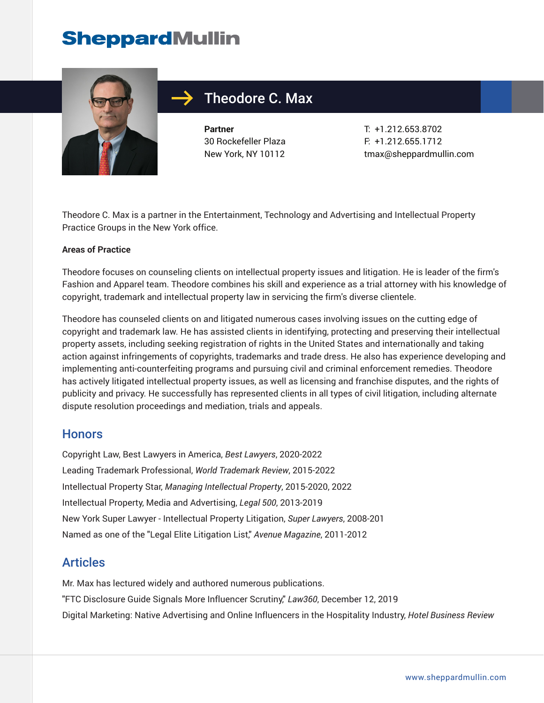

# Theodore C. Max

**Partner** 30 Rockefeller Plaza New York, NY 10112

T: +1.212.653.8702 F: +1.212.655.1712 tmax@sheppardmullin.com

Theodore C. Max is a partner in the Entertainment, Technology and Advertising and Intellectual Property Practice Groups in the New York office.

#### **Areas of Practice**

Theodore focuses on counseling clients on intellectual property issues and litigation. He is leader of the firm's Fashion and Apparel team. Theodore combines his skill and experience as a trial attorney with his knowledge of copyright, trademark and intellectual property law in servicing the firm's diverse clientele.

Theodore has counseled clients on and litigated numerous cases involving issues on the cutting edge of copyright and trademark law. He has assisted clients in identifying, protecting and preserving their intellectual property assets, including seeking registration of rights in the United States and internationally and taking action against infringements of copyrights, trademarks and trade dress. He also has experience developing and implementing anti-counterfeiting programs and pursuing civil and criminal enforcement remedies. Theodore has actively litigated intellectual property issues, as well as licensing and franchise disputes, and the rights of publicity and privacy. He successfully has represented clients in all types of civil litigation, including alternate dispute resolution proceedings and mediation, trials and appeals.

### **Honors**

Copyright Law, Best Lawyers in America, *Best Lawyers*, 2020-2022 Leading Trademark Professional, *World Trademark Review*, 2015-2022 Intellectual Property Star, *Managing Intellectual Property*, 2015-2020, 2022 Intellectual Property, Media and Advertising, *Legal 500*, 2013-2019 New York Super Lawyer - Intellectual Property Litigation, *Super Lawyers*, 2008-201 Named as one of the "Legal Elite Litigation List," *Avenue Magazine*, 2011-2012

### Articles

Mr. Max has lectured widely and authored numerous publications. "FTC Disclosure Guide Signals More Influencer Scrutiny," *Law360*, December 12, 2019 Digital Marketing: Native Advertising and Online Influencers in the Hospitality Industry, *Hotel Business Review*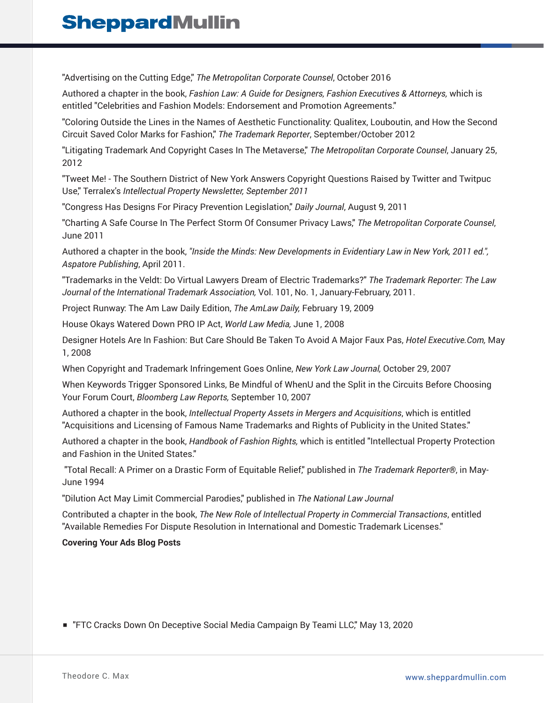"Advertising on the Cutting Edge," *The Metropolitan Corporate Counsel*, October 2016

Authored a chapter in the book, *Fashion Law: A Guide for Designers, Fashion Executives & Attorneys,* which is entitled "Celebrities and Fashion Models: Endorsement and Promotion Agreements."

"Coloring Outside the Lines in the Names of Aesthetic Functionality: Qualitex, Louboutin, and How the Second Circuit Saved Color Marks for Fashion," *The Trademark Reporter*, September/October 2012

"Litigating Trademark And Copyright Cases In The Metaverse," *The Metropolitan Corporate Counsel*, January 25, 2012

"Tweet Me! - The Southern District of New York Answers Copyright Questions Raised by Twitter and Twitpuc Use," Terralex's *Intellectual Property Newsletter, September 2011*

"Congress Has Designs For Piracy Prevention Legislation," *Daily Journal*, August 9, 2011

"Charting A Safe Course In The Perfect Storm Of Consumer Privacy Laws," *The Metropolitan Corporate Counsel*, June 2011

Authored a chapter in the book, *"Inside the Minds: New Developments in Evidentiary Law in New York, 2011 ed.", Aspatore Publishing*, April 2011.

"Trademarks in the Veldt: Do Virtual Lawyers Dream of Electric Trademarks?" *The Trademark Reporter: The Law Journal of the International Trademark Association,* Vol. 101, No. 1, January-February, 2011.

Project Runway: The Am Law Daily Edition, *The AmLaw Daily,* February 19, 2009

House Okays Watered Down PRO IP Act, *World Law Media,* June 1, 2008

Designer Hotels Are In Fashion: But Care Should Be Taken To Avoid A Major Faux Pas, *Hotel Executive.Com,* May 1, 2008

When Copyright and Trademark Infringement Goes Online, *New York Law Journal,* October 29, 2007

When Keywords Trigger Sponsored Links, Be Mindful of WhenU and the Split in the Circuits Before Choosing Your Forum Court, *Bloomberg Law Reports,* September 10, 2007

Authored a chapter in the book, *Intellectual Property Assets in Mergers and Acquisitions*, which is entitled "Acquisitions and Licensing of Famous Name Trademarks and Rights of Publicity in the United States."

Authored a chapter in the book, *Handbook of Fashion Rights,* which is entitled "Intellectual Property Protection and Fashion in the United States."

 "Total Recall: A Primer on a Drastic Form of Equitable Relief," published in *The Trademark Reporter®*, in May-June 1994

"Dilution Act May Limit Commercial Parodies," published in *The National Law Journal*

Contributed a chapter in the book, *The New Role of Intellectual Property in Commercial Transactions*, entitled "Available Remedies For Dispute Resolution in International and Domestic Trademark Licenses."

#### **Covering Your Ads Blog Posts**

■ "FTC Cracks Down On Deceptive Social Media Campaign By Teami LLC," May 13, 2020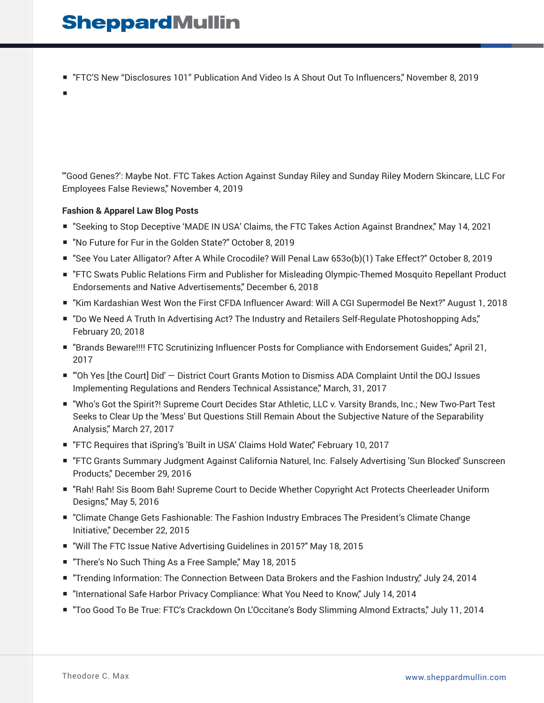■ "FTC'S New "Disclosures 101" Publication And Video Is A Shout Out To Influencers," November 8, 2019

■

"'Good Genes?': Maybe Not. FTC Takes Action Against Sunday Riley and Sunday Riley Modern Skincare, LLC For Employees False Reviews," November 4, 2019

#### **Fashion & Apparel Law Blog Posts**

- "Seeking to Stop Deceptive 'MADE IN USA' Claims, the FTC Takes Action Against Brandnex," May 14, 2021
- "No Future for Fur in the Golden State?" October 8, 2019
- "See You Later Alligator? After A While Crocodile? Will Penal Law 653o(b)(1) Take Effect?" October 8, 2019
- "FTC Swats Public Relations Firm and Publisher for Misleading Olympic-Themed Mosquito Repellant Product Endorsements and Native Advertisements," December 6, 2018
- "Kim Kardashian West Won the First CFDA Influencer Award: Will A CGI Supermodel Be Next?" August 1, 2018
- "Do We Need A Truth In Advertising Act? The Industry and Retailers Self-Regulate Photoshopping Ads," February 20, 2018
- "Brands Beware!!!! FTC Scrutinizing Influencer Posts for Compliance with Endorsement Guides," April 21, 2017
- "Oh Yes [the Court] Did' District Court Grants Motion to Dismiss ADA Complaint Until the DOJ Issues Implementing Regulations and Renders Technical Assistance," March, 31, 2017
- "Who's Got the Spirit?! Supreme Court Decides Star Athletic, LLC v. Varsity Brands, Inc.; New Two-Part Test Seeks to Clear Up the 'Mess' But Questions Still Remain About the Subjective Nature of the Separability Analysis," March 27, 2017
- "FTC Requires that iSpring's 'Built in USA' Claims Hold Water," February 10, 2017
- "FTC Grants Summary Judgment Against California Naturel, Inc. Falsely Advertising 'Sun Blocked' Sunscreen Products," December 29, 2016
- "Rah! Rah! Sis Boom Bah! Supreme Court to Decide Whether Copyright Act Protects Cheerleader Uniform Designs," May 5, 2016
- "Climate Change Gets Fashionable: The Fashion Industry Embraces The President's Climate Change Initiative," December 22, 2015
- "Will The FTC Issue Native Advertising Guidelines in 2015?" May 18, 2015
- "There's No Such Thing As a Free Sample," May 18, 2015
- "Trending Information: The Connection Between Data Brokers and the Fashion Industry," July 24, 2014
- "International Safe Harbor Privacy Compliance: What You Need to Know," July 14, 2014
- "Too Good To Be True: FTC's Crackdown On L'Occitane's Body Slimming Almond Extracts," July 11, 2014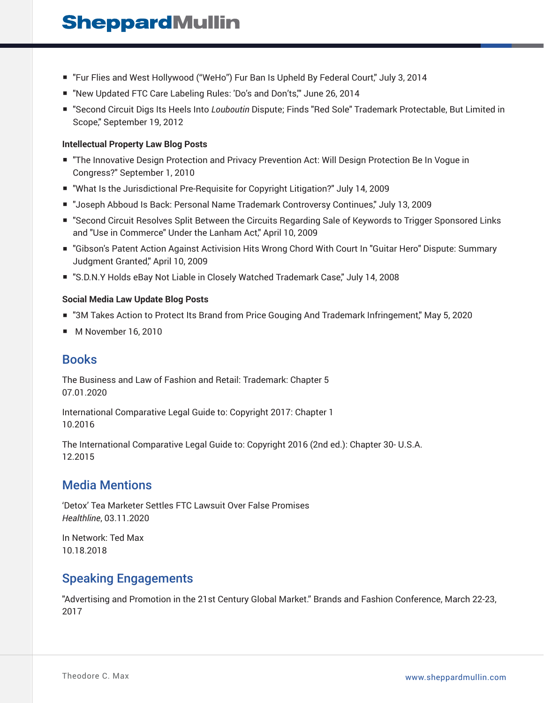- "Fur Flies and West Hollywood ("WeHo") Fur Ban Is Upheld By Federal Court," July 3, 2014
- "New Updated FTC Care Labeling Rules: 'Do's and Don'ts," June 26, 2014
- "Second Circuit Digs Its Heels Into *Louboutin* Dispute; Finds "Red Sole" Trademark Protectable, But Limited in Scope," September 19, 2012

#### **Intellectual Property Law Blog Posts**

- "The Innovative Design Protection and Privacy Prevention Act: Will Design Protection Be In Vogue in Congress?" September 1, 2010
- "What Is the Jurisdictional Pre-Requisite for Copyright Litigation?" July 14, 2009
- "Joseph Abboud Is Back: Personal Name Trademark Controversy Continues," July 13, 2009
- "Second Circuit Resolves Split Between the Circuits Regarding Sale of Keywords to Trigger Sponsored Links and "Use in Commerce" Under the Lanham Act," April 10, 2009
- "Gibson's Patent Action Against Activision Hits Wrong Chord With Court In "Guitar Hero" Dispute: Summary Judgment Granted," April 10, 2009
- "S.D.N.Y Holds eBay Not Liable in Closely Watched Trademark Case," July 14, 2008

#### **Social Media Law Update Blog Posts**

- "3M Takes Action to Protect Its Brand from Price Gouging And Trademark Infringement," May 5, 2020
- M November 16, 2010

### **Books**

The Business and Law of Fashion and Retail: Trademark: Chapter 5 07.01.2020

International Comparative Legal Guide to: Copyright 2017: Chapter 1 10.2016

The International Comparative Legal Guide to: Copyright 2016 (2nd ed.): Chapter 30- U.S.A. 12.2015

### Media Mentions

'Detox' Tea Marketer Settles FTC Lawsuit Over False Promises *Healthline*, 03.11.2020

In Network: Ted Max 10.18.2018

### Speaking Engagements

"Advertising and Promotion in the 21st Century Global Market." Brands and Fashion Conference, March 22-23, 2017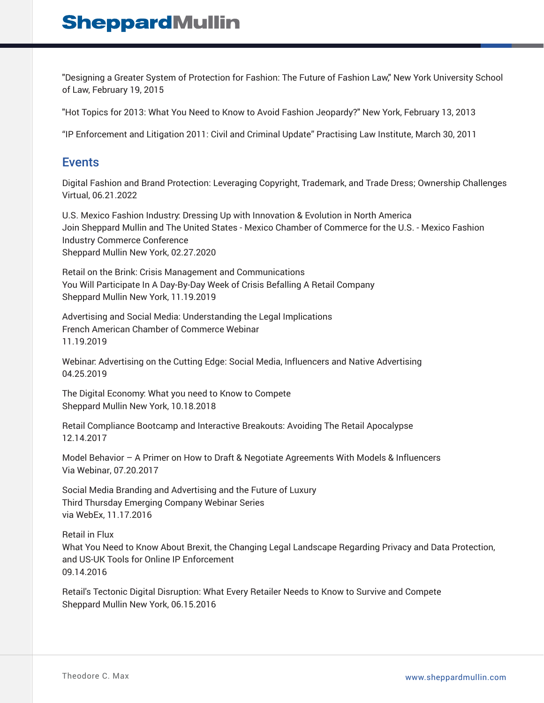"Designing a Greater System of Protection for Fashion: The Future of Fashion Law," New York University School of Law, February 19, 2015

"Hot Topics for 2013: What You Need to Know to Avoid Fashion Jeopardy?" New York, February 13, 2013

"IP Enforcement and Litigation 2011: Civil and Criminal Update" Practising Law Institute, March 30, 2011

### **Events**

Digital Fashion and Brand Protection: Leveraging Copyright, Trademark, and Trade Dress; Ownership Challenges Virtual, 06.21.2022

U.S. Mexico Fashion Industry: Dressing Up with Innovation & Evolution in North America Join Sheppard Mullin and The United States - Mexico Chamber of Commerce for the U.S. - Mexico Fashion Industry Commerce Conference Sheppard Mullin New York, 02.27.2020

Retail on the Brink: Crisis Management and Communications You Will Participate In A Day-By-Day Week of Crisis Befalling A Retail Company Sheppard Mullin New York, 11.19.2019

Advertising and Social Media: Understanding the Legal Implications French American Chamber of Commerce Webinar 11.19.2019

Webinar: Advertising on the Cutting Edge: Social Media, Influencers and Native Advertising 04.25.2019

The Digital Economy: What you need to Know to Compete Sheppard Mullin New York, 10.18.2018

Retail Compliance Bootcamp and Interactive Breakouts: Avoiding The Retail Apocalypse 12.14.2017

Model Behavior – A Primer on How to Draft & Negotiate Agreements With Models & Influencers Via Webinar, 07.20.2017

Social Media Branding and Advertising and the Future of Luxury Third Thursday Emerging Company Webinar Series via WebEx, 11.17.2016

Retail in Flux What You Need to Know About Brexit, the Changing Legal Landscape Regarding Privacy and Data Protection, and US-UK Tools for Online IP Enforcement 09.14.2016

Retail's Tectonic Digital Disruption: What Every Retailer Needs to Know to Survive and Compete Sheppard Mullin New York, 06.15.2016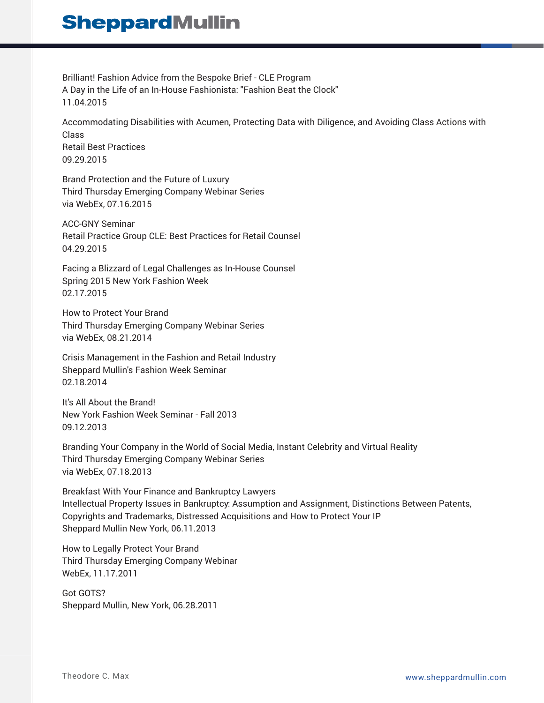Brilliant! Fashion Advice from the Bespoke Brief - CLE Program A Day in the Life of an In-House Fashionista: "Fashion Beat the Clock" 11.04.2015

Accommodating Disabilities with Acumen, Protecting Data with Diligence, and Avoiding Class Actions with Class Retail Best Practices 09.29.2015

Brand Protection and the Future of Luxury Third Thursday Emerging Company Webinar Series via WebEx, 07.16.2015

ACC-GNY Seminar Retail Practice Group CLE: Best Practices for Retail Counsel 04.29.2015

Facing a Blizzard of Legal Challenges as In-House Counsel Spring 2015 New York Fashion Week 02.17.2015

How to Protect Your Brand Third Thursday Emerging Company Webinar Series via WebEx, 08.21.2014

Crisis Management in the Fashion and Retail Industry Sheppard Mullin's Fashion Week Seminar 02.18.2014

It's All About the Brand! New York Fashion Week Seminar - Fall 2013 09.12.2013

Branding Your Company in the World of Social Media, Instant Celebrity and Virtual Reality Third Thursday Emerging Company Webinar Series via WebEx, 07.18.2013

Breakfast With Your Finance and Bankruptcy Lawyers Intellectual Property Issues in Bankruptcy: Assumption and Assignment, Distinctions Between Patents, Copyrights and Trademarks, Distressed Acquisitions and How to Protect Your IP Sheppard Mullin New York, 06.11.2013

How to Legally Protect Your Brand Third Thursday Emerging Company Webinar WebEx, 11.17.2011

Got GOTS? Sheppard Mullin, New York, 06.28.2011